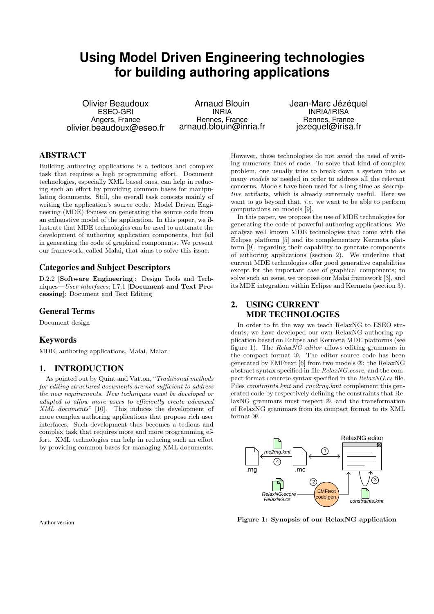# **Using Model Driven Engineering technologies for building authoring applications**

Olivier Beaudoux ESEO-GRI Angers, France olivier.beaudoux@eseo.fr

Arnaud Blouin INRIA Rennes, France arnaud.blouin@inria.fr Jean-Marc Jézéquel INRIA/IRISA Rennes, France jezequel@irisa.fr

# ABSTRACT

Building authoring applications is a tedious and complex task that requires a high programming effort. Document technologies, especially XML based ones, can help in reducing such an effort by providing common bases for manipulating documents. Still, the overall task consists mainly of writing the application's source code. Model Driven Engineering (MDE) focuses on generating the source code from an exhaustive model of the application. In this paper, we illustrate that MDE technologies can be used to automate the development of authoring application components, but fail in generating the code of graphical components. We present our framework, called Malai, that aims to solve this issue.

### Categories and Subject Descriptors

D.2.2 [Software Engineering]: Design Tools and Techniques—User interfaces; I.7.1 [Document and Text Processing]: Document and Text Editing

## General Terms

Document design

## Keywords

MDE, authoring applications, Malai, Malan

### 1. INTRODUCTION

As pointed out by Quint and Vatton, "Traditional methods for editing structured documents are not sufficient to address the new requirements. New techniques must be developed or adapted to allow more users to efficiently create advanced XML documents" [10]. This induces the development of more complex authoring applications that propose rich user interfaces. Such development thus becomes a tedious and complex task that requires more and more programming effort. XML technologies can help in reducing such an effort by providing common bases for managing XML documents.

However, these technologies do not avoid the need of writing numerous lines of code. To solve that kind of complex problem, one usually tries to break down a system into as many models as needed in order to address all the relevant concerns. Models have been used for a long time as descriptive artifacts, which is already extremely useful. Here we want to go beyond that, *i.e.* we want to be able to perform computations on models [9].

In this paper, we propose the use of MDE technologies for generating the code of powerful authoring applications. We analyze well known MDE technologies that come with the Eclipse platform [5] and its complementary Kermeta platform [9], regarding their capability to generate components of authoring applications (section 2). We underline that current MDE technologies offer good generative capabilities except for the important case of graphical components; to solve such an issue, we propose our Malai framework [3], and its MDE integration within Eclipse and Kermeta (section 3).

# 2. USING CURRENT MDE TECHNOLOGIES

In order to fit the way we teach RelaxNG to ESEO students, we have developed our own RelaxNG authoring application based on Eclipse and Kermeta MDE platforms (see figure 1). The RelaxNG editor allows editing grammars in the compact format ①. The editor source code has been generated by EMFtext [6] from two models ②: the RelaxNG abstract syntax specified in file RelaxNG.ecore, and the compact format concrete syntax specified in the RelaxNG.cs file. Files *constraints.kmt* and  $mc2rng.kmt$  complement this generated code by respectively defining the constraints that RelaxNG grammars must respect ③, and the transformation of RelaxNG grammars from its compact format to its XML format ④.



Figure 1: Synopsis of our RelaxNG application

Author version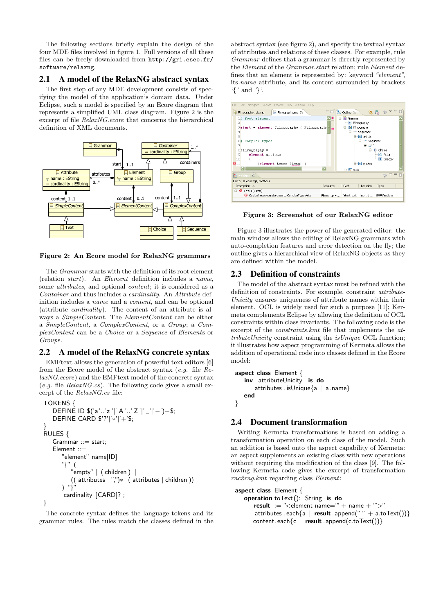The following sections briefly explain the design of the four MDE files involved in figure 1. Full versions of all these files can be freely downloaded from http://gri.eseo.fr/ software/relaxng.

### 2.1 A model of the RelaxNG abstract syntax

The first step of any MDE development consists of specifying the model of the application's domain data. Under Eclipse, such a model is specified by an Ecore diagram that represents a simplified UML class diagram. Figure 2 is the excerpt of file RelaxNG.ecore that concerns the hierarchical definition of XML documents.



Figure 2: An Ecore model for RelaxNG grammars

The Grammar starts with the definition of its root element (relation start). An Element definition includes a name, some attributes, and optional content; it is considered as a Container and thus includes a cardinality. An Attribute definition includes a name and a content, and can be optional (attribute cardinality). The content of an attribute is always a SimpleContent. The ElementContent can be either a SimpleContent, a ComplexContent, or a Group; a ComplexContent can be a Choice or a Sequence of Elements or Groups.

## 2.2 A model of the RelaxNG concrete syntax

EMFtext allows the generation of powerful text editors [6] from the Ecore model of the abstract syntax (e.g. file RelaxNG.ecore) and the EMFtext model of the concrete syntax  $(e.g.$  file  $RelaxNG.cs)$ . The following code gives a small excerpt of the RelaxNG.cs file:

```
TOKENS {
   DEFINE ID $('a'..'z '|' A '..' Z '|' _'|'−')+$;
   DEFINE CARD $'?'|'∗'|'+'$;
}
RULES {
   Grammar ::= start;
   Element ::=
      "element" name[ID]
      "{" (
         "empty" | (children)(( attributes ",")∗ ( attributes | children ))
      ) "}"
       cardinality [CARD]? ;
}
```
The concrete syntax defines the language tokens and its grammar rules. The rules match the classes defined in the

abstract syntax (see figure 2), and specify the textual syntax of attributes and relations of these classes. For example, rule Grammar defines that a grammar is directly represented by the Element of the Grammar.start relation; rule Element defines that an element is represented by: keyword "element", its.name attribute, and its content surrounded by brackets  $\gamma'$  and  $\gamma'$ .



Figure 3: Screenshot of our RelaxNG editor

Figure 3 illustrates the power of the generated editor: the main window allows the editing of RelaxNG grammars with auto-completion features and error detection on the fly; the outline gives a hierarchical view of RelaxNG objects as they are defined within the model.

### 2.3 Definition of constraints

The model of the abstract syntax must be refined with the definition of constraints. For example, constraint attribute-Unicity ensures uniqueness of attribute names within their element. OCL is widely used for such a purpose [11]; Kermeta complements Eclipse by allowing the definition of OCL constraints within class invariants. The following code is the excerpt of the constraints.kmt file that implements the at $tribute\,C$ nicity constraint using the *is*Unique OCL function; it illustrates how aspect programming of Kermeta allows the addition of operational code into classes defined in the Ecore model:

```
aspect class Element {
   inv attributeUnicity is do
      attributes .isUnique{a | a.name}
   end
}
```
### 2.4 Document transformation

Writing Kermeta transformations is based on adding a transformation operation on each class of the model. Such an addition is based onto the aspect capability of Kermeta: an aspect supplements an existing class with new operations without requiring the modification of the class [9]. The following Kermeta code gives the excerpt of transformation rnc2rng.kmt regarding class Element:

```
aspect class Element {
```

```
operation toText (): String is do
   result := " < element name="' + name + "' >"
   attributes .each{a | result .append(" " + a.toText())}
   content.each{c | result .append(c.toText())}
```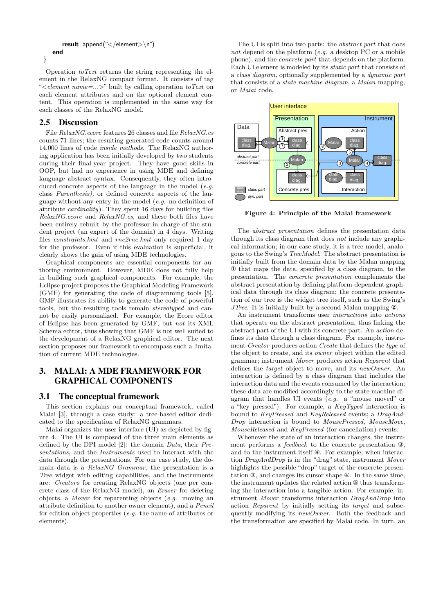```
result .append("\lt/element>\n\mid n")
end
```
Operation toText returns the string representing the element in the RelaxNG compact format. It consists of tag " $\leq$ element name=...>" built by calling operation to Text on each element attributes and on the optional element content. This operation is implemented in the same way for each classes of the RelaxNG model.

### 2.5 Discussion

}

File RelaxNG.ecore features 26 classes and file RelaxNG.cs counts 71 lines; the resulting generated code counts around 14.000 lines of code inside methods. The RelaxNG authoring application has been initially developed by two students during their final-year project. They have good skills in OOP, but had no experience in using MDE and defining language abstract syntax. Consequently, they often introduced concrete aspects of the language in the model  $(e.g., )$ class Parenthesis), or defined concrete aspects of the language without any entry in the model (e.g. no definition of attribute cardinality). They spent 16 days for building files RelaxNG.ecore and RelaxNG.cs, and these both files have been entirely rebuilt by the professor in charge of the student project (an expert of the domain) in 4 days. Writing files constraints.kmt and rnc2rnc.kmt only required 1 day for the professor. Even if this evaluation is superficial, it clearly shows the gain of using MDE technologies.

Graphical components are essential components for authoring environment. However, MDE does not fully help in building such graphical components. For example, the Eclipse project proposes the Graphical Modeling Framework (GMF) for generating the code of diagramming tools [5]. GMF illustrates its ability to generate the code of powerful tools, but the resulting tools remain stereotyped and cannot be easily personalized. For example, the Ecore editor of Eclipse has been generated by GMF, but not its XML Schema editor, thus showing that GMF is not well suited to the development of a RelaxNG graphical editor. The next section proposes our framework to encompass such a limitation of current MDE technologies.

## 3. MALAI: A MDE FRAMEWORK FOR GRAPHICAL COMPONENTS

#### 3.1 The conceptual framework

This section explains our conceptual framework, called Malai [3], through a case study: a tree-based editor dedicated to the specification of RelaxNG grammars.

Malai organizes the user interface (UI) as depicted by figure 4. The UI is composed of the three main elements as defined by the DPI model [2]: the domain Data, their Presentations, and the *Instruments* used to interact with the data through the presentations. For our case study, the domain data is a RelaxNG Grammar, the presentation is a Tree widget with editing capabilities, and the instruments are: Creators for creating RelaxNG objects (one per concrete class of the RelaxNG model), an Eraser for deleting objects, a Mover for reparenting objects (e.g. moving an attribute definition to another owner element), and a Pencil for edition object properties (e.g. the name of attributes or elements).

The UI is split into two parts: the abstract part that does not depend on the platform  $(e.g.$  a desktop PC or a mobile phone), and the concrete part that depends on the platform. Each UI element is modeled by its static part that consists of a class diagram, optionally supplemented by a dynamic part that consists of a state machine diagram, a Malan mapping, or Malai code.



Figure 4: Principle of the Malai framework

The abstract presentation defines the presentation data through its class diagram that does not include any graphical information; in our case study, it is a tree model, analogous to the Swing's TreeModel. The abstract presentation is initially built from the domain data by the Malan mapping ① that maps the data, specified by a class diagram, to the presentation. The concrete presentation complements the abstract presentation by defining platform-dependent graphical data through its class diagram; the concrete presentation of our tree is the widget tree itself, such as the Swing's JTree. It is initially built by a second Malan mapping ②.

An instrument transforms user interactions into actions that operate on the abstract presentation, thus linking the abstract part of the UI with its concrete part. An action defines its data through a class diagram. For example, instrument *Creator* produces action *Create* that defines the type of the object to create, and its owner object within the edited grammar; instrument Mover produces action Reparent that defines the target object to move, and its newOwner. An interaction is defined by a class diagram that includes the interaction data and the events consumed by the interaction; these data are modified accordingly to the state machine diagram that handles UI events (e.g. a "mouse moved" or a "key pressed"). For example, a KeyTyped interaction is bound to KeyPressed and KeyReleased events; a DragAnd-Drop interaction is bound to MousePressed, MouseMove, MouseReleased and KeyPressed (for cancellation) events.

Whenever the state of an interaction changes, the instrument performs a feedback to the concrete presentation ③, and to the instrument itself ④. For example, when interaction DragAndDrop is in the "drag" state, instrument Mover highlights the possible "drop" target of the concrete presentation ③, and changes its cursor shape ④. In the same time, the instrument updates the related action ⑤ thus transforming the interaction into a tangible action. For example, instrument Mover transforms interaction DragAndDrop into action Reparent by initially setting its target and subsequently modifying its newOwner. Both the feedback and the transformation are specified by Malai code. In turn, an